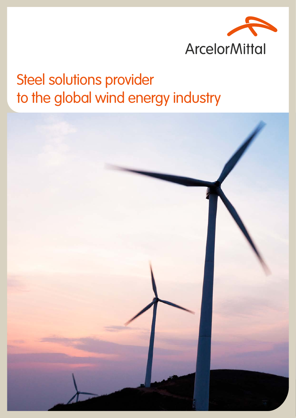

## Steel solutions provider to the global wind energy industry

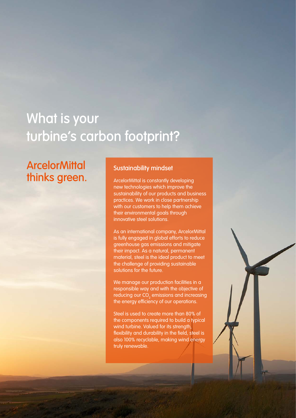## What is your turbine's carbon footprint?

### **ArcelorMittal** thinks green.

#### Sustainability mindset

ArcelorMittal is constantly developing new technologies which improve the sustainability of our products and business practices. We work in close partnership with our customers to help them achieve their environmental goals through innovative steel solutions.

As an international company, ArcelorMittal is fully engaged in global efforts to reduce greenhouse gas emissions and mitigate their impact. As a natural, permanent material, steel is the ideal product to meet the challenge of providing sustainable solutions for the future.

We manage our production facilities in a responsible way and with the objective of reducing our CO $_{\tiny 2}$  emissions and increasing the energy efficiency of our operations.

Steel is used to create more than 80% of the components required to build a typical wind turbine. Valued for its strength, flexibility and durability in the field, steel is also 100% recyclable, making wind energy truly renewable.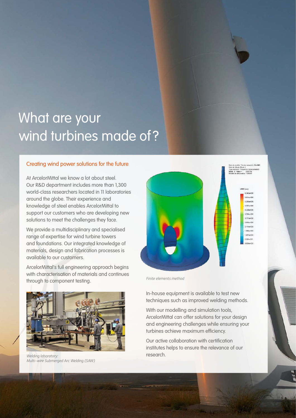## What are your wind turbines made of ?

#### Creating wind power solutions for the future

At ArcelorMittal we know a lot about steel. Our R&D department includes more than 1,300 world-class researchers located in 11 laboratories around the globe. Their experience and knowledge of steel enables ArcelorMittal to support our customers who are developing new solutions to meet the challenges they face.

We provide a multidisciplinary and specialised range of expertise for wind turbine towers and foundations. Our integrated knowledge of materials, design and fabrication processes is available to our customers.

ArcelorMittal's full engineering approach begins with characterisation of materials and continues through to component testing.



*Welding laboratory:* research. *Multi-wire Submerged Arc Welding (SAW)*



*Finite elements method*

In-house equipment is available to test new techniques such as improved welding methods.

With our modelling and simulation tools, ArcelorMittal can offer solutions for your design and engineering challenges while ensuring your turbines achieve maximum efficiency.

Our active collaboration with certification institutes helps to ensure the relevance of our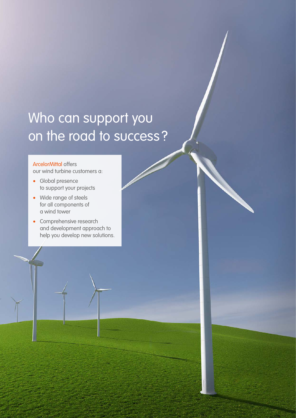## Who can support you on the road to success ?

#### ArcelorMittal offers

our wind turbine customers a:

- Global presence to support your projects
- Wide range of steels for all components of a wind tower
- Comprehensive research and development approach to help you develop new solutions.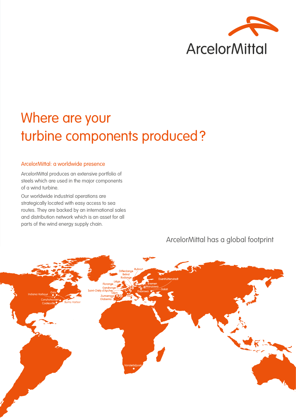

## Where are your turbine components produced?

#### ArcelorMittal: a worldwide presence

ArcelorMittal produces an extensive portfolio of steels which are used in the major components of a wind turbine.

Our worldwide industrial operations are strategically located with easy access to sea routes. They are backed by an international sales and distribution network which is an asset for all parts of the wind energy supply chain.

# Ruhro danao Zumarrad **Burns Harbor**

ArcelorMittal has a global footprint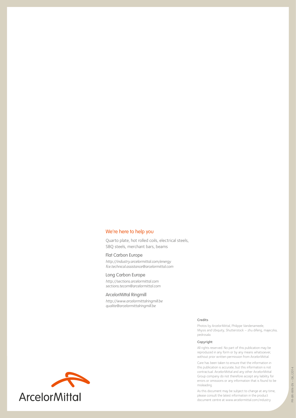#### We're here to help you

Quarto plate, hot rolled coils, electrical steels, SBQ steels, merchant bars, beams

#### Flat Carbon Europe

*http://industry.arcelormittal.com/energy fce.technical.assistance@arcelormittal.com*

#### Long Carbon Europe

*http://sections.arcelormittal.com sections.tecom@arcelormittal.com*

#### ArcelorMittal Ringmill

*http://www.arcelormittalringmill.be qualite@arcelormittalringmill.be*

#### Credits

Photos by ArcelorMittal, Philippe Vandenameele, Miysis and Ubiquity, Shutterstock – zhu difeng, majeczka, pedrosala.

#### Copyright

All rights reserved. No part of this publication may be reproduced in any form or by any means whatsoever, without prior written permission from ArcelorMittal.

Care has been taken to ensure that the information in this publication is accurate, but this information is not contractual. ArcelorMittal and any other ArcelorMittal Group company do not therefore accept any liability for errors or omissions or any information that is found to be misleading.

As this document may be subject to change at any time, please consult the latest information in the product document centre at www.arcelormittal.com/industry